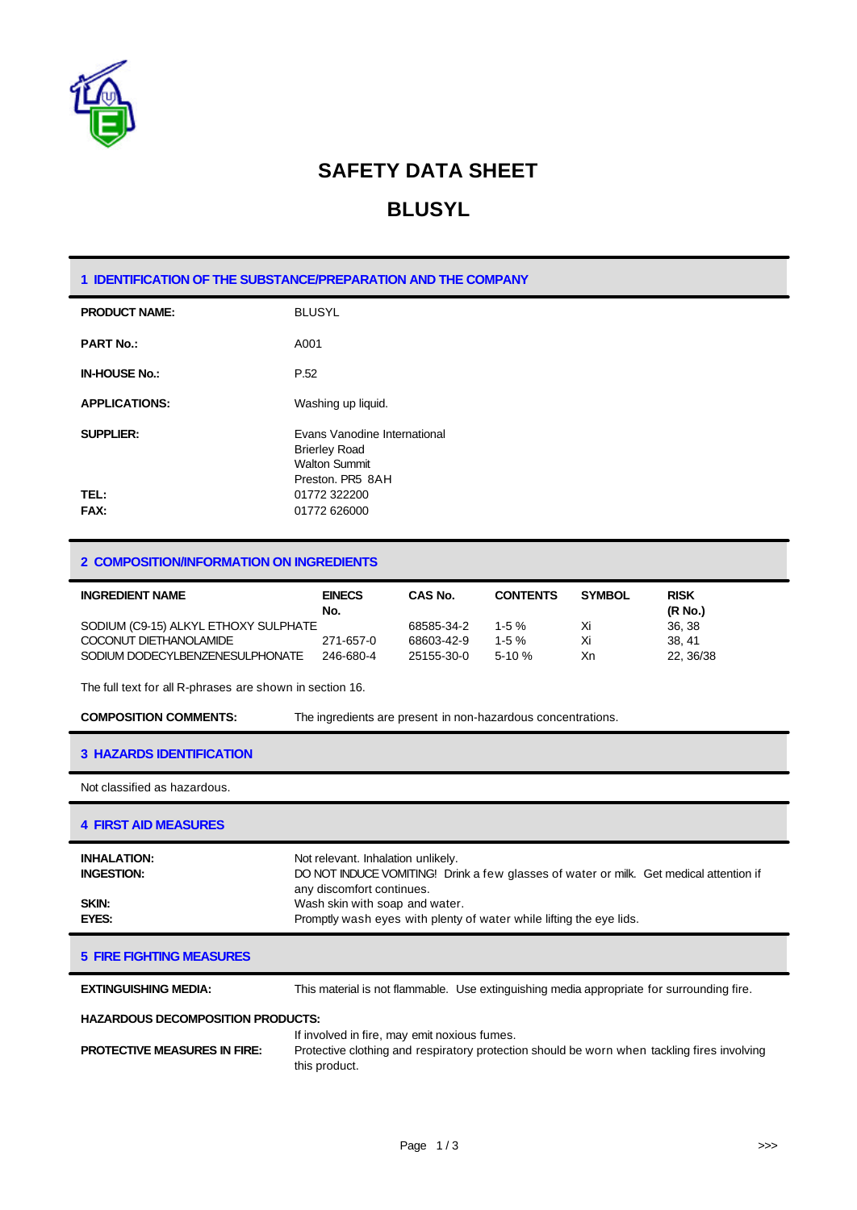

## **SAFETY DATA SHEET**

### **BLUSYL**

### **1 IDENTIFICATION OF THE SUBSTANCE/PREPARATION AND THE COMPANY**

| <b>PRODUCT NAME:</b> | <b>BLUSYL</b>                                                                                           |
|----------------------|---------------------------------------------------------------------------------------------------------|
| <b>PART No.:</b>     | A001                                                                                                    |
| <b>IN-HOUSE No.:</b> | P.52                                                                                                    |
| <b>APPLICATIONS:</b> | Washing up liquid.                                                                                      |
| <b>SUPPLIER:</b>     | <b>Evans Vanodine International</b><br><b>Brierley Road</b><br><b>Walton Summit</b><br>Preston, PR5 8AH |
| TEL:<br><b>FAX:</b>  | 01772 322200<br>01772 626000                                                                            |

### **2 COMPOSITION/INFORMATION ON INGREDIENTS**

| <b>INGREDIENT NAME</b>               | <b>EINECS</b><br>No. | <b>CAS No.</b> | <b>CONTENTS</b> | <b>SYMBOL</b> | <b>RISK</b><br>(R No.) |
|--------------------------------------|----------------------|----------------|-----------------|---------------|------------------------|
| SODIUM (C9-15) ALKYL ETHOXY SULPHATE |                      | 68585-34-2     | $1-5%$          | Xi            | 36.38                  |
| COCONUT DIETHANOLAMIDE               | 271-657-0            | 68603-42-9     | $1-5\%$         | Xi            | 38.41                  |
| SODIUM DODECYLBENZENESULPHONATE      | 246-680-4            | 25155-30-0     | $5-10%$         | Xn            | 22. 36/38              |

The full text for all R-phrases are shown in section 16.

**COMPOSITION COMMENTS:** The ingredients are present in non-hazardous concentrations.

#### **3 HAZARDS IDENTIFICATION**

Not classified as hazardous.

### **4 FIRST AID MEASURES**

| <b>INHALATION:</b><br><b>INGESTION:</b> | Not relevant. Inhalation unlikely.<br>DO NOT INDUCE VOMITING! Drink a few glasses of water or milk. Get medical attention if<br>any discomfort continues. |
|-----------------------------------------|-----------------------------------------------------------------------------------------------------------------------------------------------------------|
| SKIN:                                   | Wash skin with soap and water.                                                                                                                            |
| EYES:                                   | Promptly wash eyes with plenty of water while lifting the eye lids.                                                                                       |

#### **5 FIRE FIGHTING MEASURES**

**EXTINGUISHING MEDIA:** This material is not flammable. Use extinguishing media appropriate for surrounding fire.

#### **HAZARDOUS DECOMPOSITION PRODUCTS:**

|                                     | If involved in fire, may emit noxious fumes.                                                |
|-------------------------------------|---------------------------------------------------------------------------------------------|
| <b>PROTECTIVE MEASURES IN FIRE:</b> | Protective clothing and respiratory protection should be worn when tackling fires involving |
|                                     | this product.                                                                               |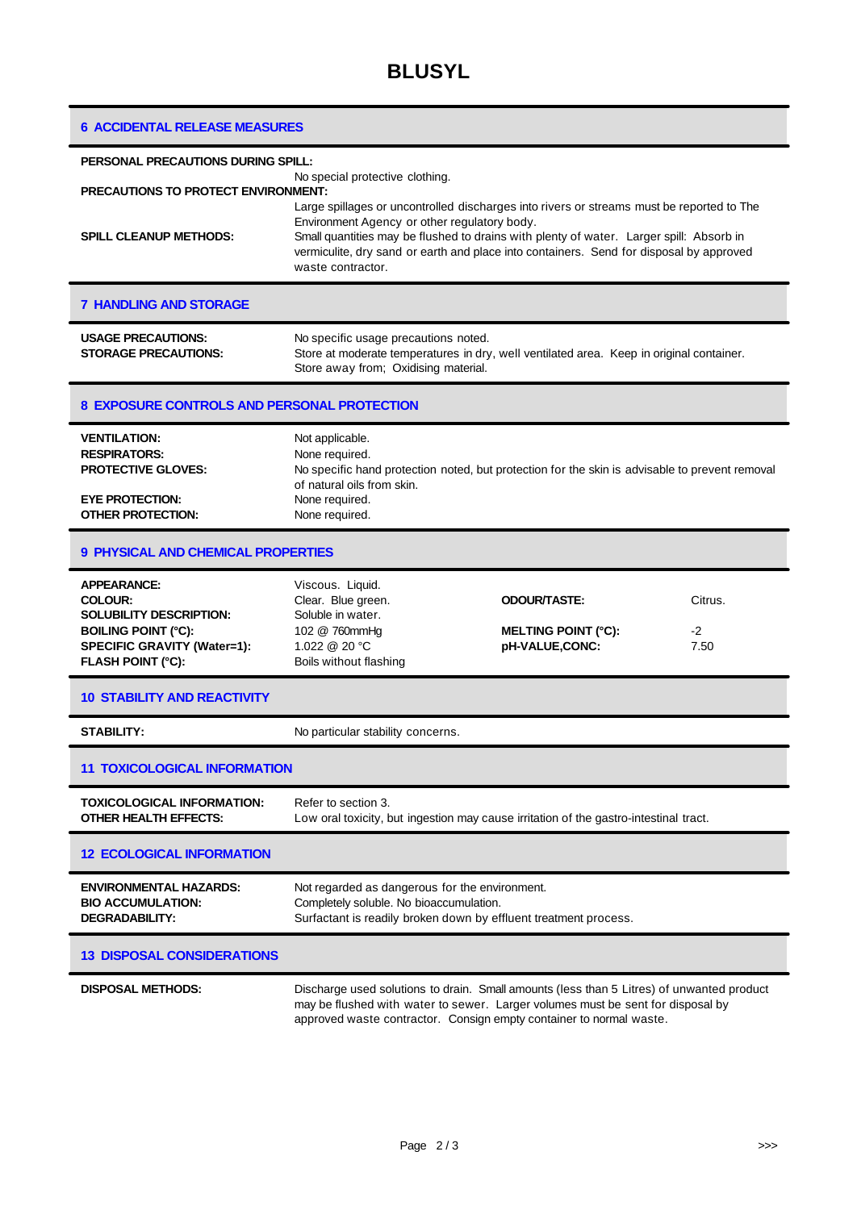|  | <b>6 ACCIDENTAL RELEASE MEASURES</b> |
|--|--------------------------------------|
|--|--------------------------------------|

| <b>PERSONAL PRECAUTIONS DURING SPILL:</b>                                                                                                                       |                                                                                                                                                                                                                                                                                                                                                      |                                                                     |                         |
|-----------------------------------------------------------------------------------------------------------------------------------------------------------------|------------------------------------------------------------------------------------------------------------------------------------------------------------------------------------------------------------------------------------------------------------------------------------------------------------------------------------------------------|---------------------------------------------------------------------|-------------------------|
| No special protective clothing.<br><b>PRECAUTIONS TO PROTECT ENVIRONMENT:</b>                                                                                   |                                                                                                                                                                                                                                                                                                                                                      |                                                                     |                         |
| <b>SPILL CLEANUP METHODS:</b>                                                                                                                                   | Large spillages or uncontrolled discharges into rivers or streams must be reported to The<br>Environment Agency or other regulatory body.<br>Small quantities may be flushed to drains with plenty of water. Larger spill: Absorb in<br>vermiculite, dry sand or earth and place into containers. Send for disposal by approved<br>waste contractor. |                                                                     |                         |
| <b>7 HANDLING AND STORAGE</b>                                                                                                                                   |                                                                                                                                                                                                                                                                                                                                                      |                                                                     |                         |
| <b>USAGE PRECAUTIONS:</b><br><b>STORAGE PRECAUTIONS:</b>                                                                                                        | No specific usage precautions noted.<br>Store at moderate temperatures in dry, well ventilated area. Keep in original container.<br>Store away from; Oxidising material.                                                                                                                                                                             |                                                                     |                         |
| <b>8 EXPOSURE CONTROLS AND PERSONAL PROTECTION</b>                                                                                                              |                                                                                                                                                                                                                                                                                                                                                      |                                                                     |                         |
| <b>VENTILATION:</b><br><b>RESPIRATORS:</b><br><b>PROTECTIVE GLOVES:</b><br><b>EYE PROTECTION:</b><br><b>OTHER PROTECTION:</b>                                   | Not applicable.<br>None required.<br>No specific hand protection noted, but protection for the skin is advisable to prevent removal<br>of natural oils from skin.<br>None required.<br>None required.                                                                                                                                                |                                                                     |                         |
| <b>9 PHYSICAL AND CHEMICAL PROPERTIES</b>                                                                                                                       |                                                                                                                                                                                                                                                                                                                                                      |                                                                     |                         |
| <b>APPEARANCE:</b><br><b>COLOUR:</b><br><b>SOLUBILITY DESCRIPTION:</b><br><b>BOILING POINT (°C):</b><br>SPECIFIC GRAVITY (Water=1):<br><b>FLASH POINT (°C):</b> | Viscous. Liquid.<br>Clear. Blue green.<br>Soluble in water.<br>102 @ 760mmHg<br>1.022 @ 20 °C<br>Boils without flashing                                                                                                                                                                                                                              | <b>ODOUR/TASTE:</b><br><b>MELTING POINT (°C):</b><br>pH-VALUE,CONC: | Citrus.<br>$-2$<br>7.50 |
| <b>10 STABILITY AND REACTIVITY</b>                                                                                                                              |                                                                                                                                                                                                                                                                                                                                                      |                                                                     |                         |
| <b>STABILITY:</b>                                                                                                                                               | No particular stability concerns.                                                                                                                                                                                                                                                                                                                    |                                                                     |                         |
| <b>11 TOXICOLOGICAL INFORMATION</b>                                                                                                                             |                                                                                                                                                                                                                                                                                                                                                      |                                                                     |                         |
| TOXICOLOGICAL INFORMATION:<br>OTHER HEALTH EFFECTS:                                                                                                             | Refer to section 3.<br>Low oral toxicity, but ingestion may cause irritation of the gastro-intestinal tract.                                                                                                                                                                                                                                         |                                                                     |                         |
| <b>12 ECOLOGICAL INFORMATION</b>                                                                                                                                |                                                                                                                                                                                                                                                                                                                                                      |                                                                     |                         |
| <b>ENVIRONMENTAL HAZARDS:</b><br><b>BIO ACCUMULATION:</b><br><b>DEGRADABILITY:</b>                                                                              | Not regarded as dangerous for the environment.<br>Completely soluble. No bioaccumulation.<br>Surfactant is readily broken down by effluent treatment process.                                                                                                                                                                                        |                                                                     |                         |
| <b>13 DISPOSAL CONSIDERATIONS</b>                                                                                                                               |                                                                                                                                                                                                                                                                                                                                                      |                                                                     |                         |
| <b>DISPOSAL METHODS:</b>                                                                                                                                        | Discharge used solutions to drain. Small amounts (less than 5 Litres) of unwanted product<br>may be flushed with water to sewer. Larger volumes must be sent for disposal by<br>approved waste contractor. Consign empty container to normal waste.                                                                                                  |                                                                     |                         |